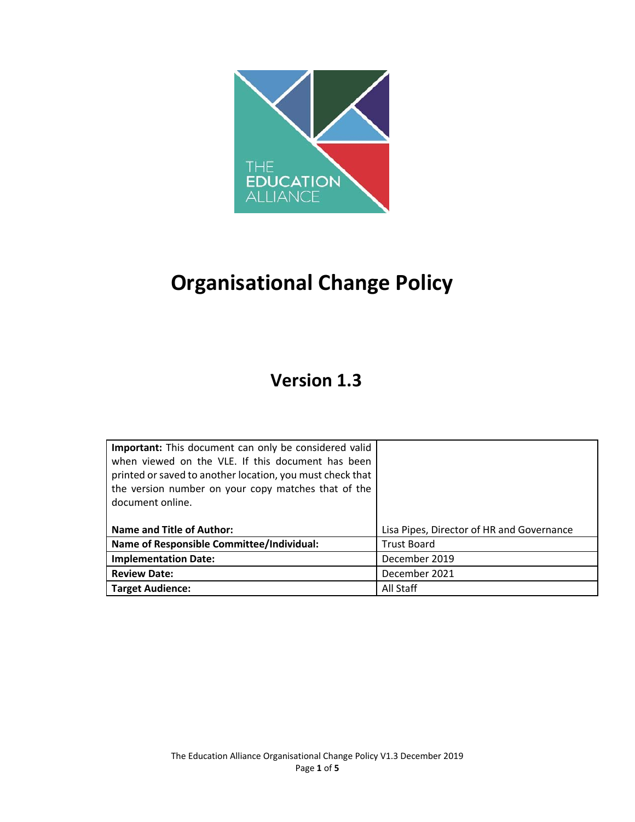

# **Organisational Change Policy**

# **Version 1.3**

| Important: This document can only be considered valid<br>when viewed on the VLE. If this document has been<br>printed or saved to another location, you must check that<br>the version number on your copy matches that of the<br>document online. |                                           |
|----------------------------------------------------------------------------------------------------------------------------------------------------------------------------------------------------------------------------------------------------|-------------------------------------------|
| <b>Name and Title of Author:</b>                                                                                                                                                                                                                   | Lisa Pipes, Director of HR and Governance |
| Name of Responsible Committee/Individual:                                                                                                                                                                                                          | <b>Trust Board</b>                        |
| <b>Implementation Date:</b>                                                                                                                                                                                                                        | December 2019                             |
| <b>Review Date:</b>                                                                                                                                                                                                                                | December 2021                             |
| <b>Target Audience:</b>                                                                                                                                                                                                                            | All Staff                                 |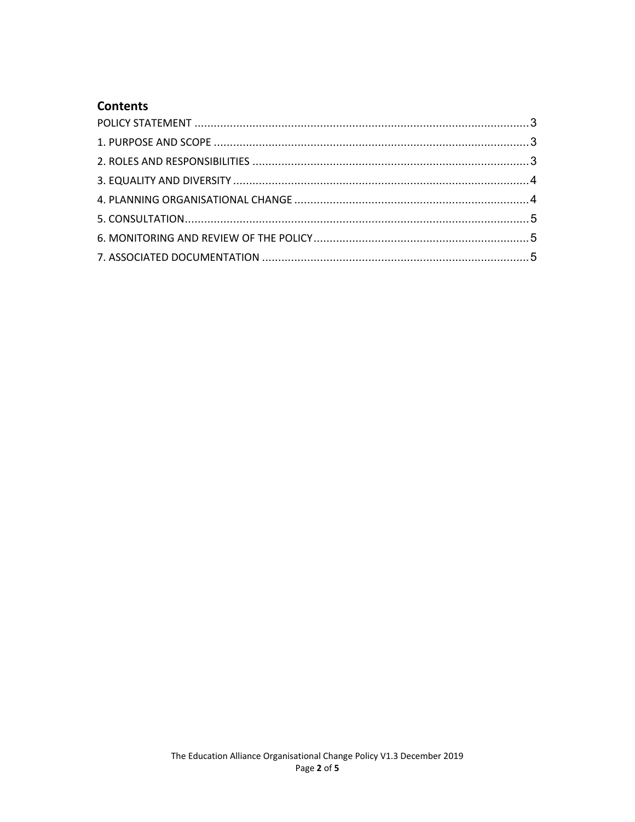# **Contents**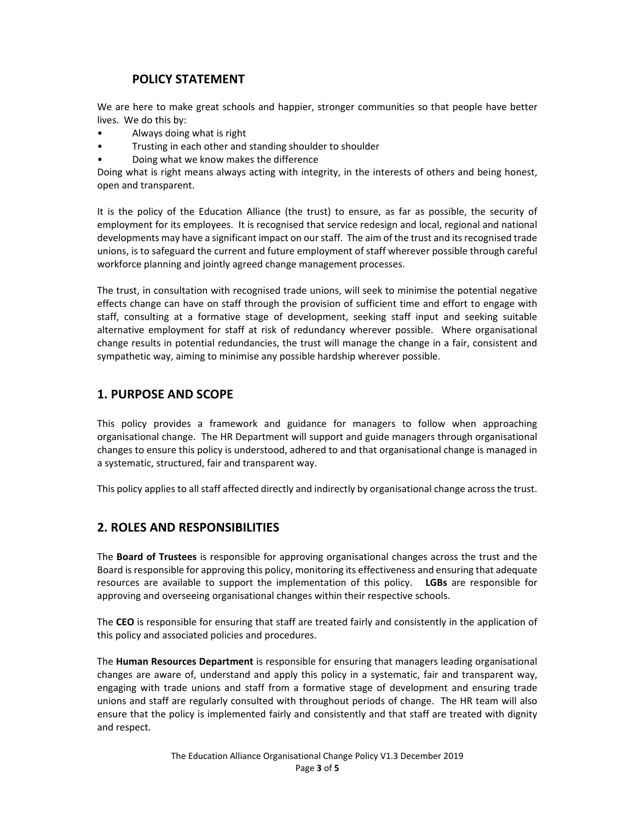# **POLICY STATEMENT**

We are here to make great schools and happier, stronger communities so that people have better lives. We do this by:

- Always doing what is right
- Trusting in each other and standing shoulder to shoulder
- Doing what we know makes the difference

Doing what is right means always acting with integrity, in the interests of others and being honest, open and transparent.

It is the policy of the Education Alliance (the trust) to ensure, as far as possible, the security of employment for its employees. It is recognised that service redesign and local, regional and national developments may have a significant impact on our staff. The aim of the trust and its recognised trade unions, is to safeguard the current and future employment of staff wherever possible through careful workforce planning and jointly agreed change management processes.

The trust, in consultation with recognised trade unions, will seek to minimise the potential negative effects change can have on staff through the provision of sufficient time and effort to engage with staff, consulting at a formative stage of development, seeking staff input and seeking suitable alternative employment for staff at risk of redundancy wherever possible. Where organisational change results in potential redundancies, the trust will manage the change in a fair, consistent and sympathetic way, aiming to minimise any possible hardship wherever possible.

#### **1. PURPOSE AND SCOPE**

This policy provides a framework and guidance for managers to follow when approaching organisational change. The HR Department will support and guide managers through organisational changes to ensure this policy is understood, adhered to and that organisational change is managed in a systematic, structured, fair and transparent way.

This policy applies to all staff affected directly and indirectly by organisational change across the trust.

# **2. ROLES AND RESPONSIBILITIES**

The **Board of Trustees** is responsible for approving organisational changes across the trust and the Board is responsible for approving this policy, monitoring its effectiveness and ensuring that adequate resources are available to support the implementation of this policy. **LGBs** are responsible for approving and overseeing organisational changes within their respective schools.

The **CEO** is responsible for ensuring that staff are treated fairly and consistently in the application of this policy and associated policies and procedures.

The **Human Resources Department** is responsible for ensuring that managers leading organisational changes are aware of, understand and apply this policy in a systematic, fair and transparent way, engaging with trade unions and staff from a formative stage of development and ensuring trade unions and staff are regularly consulted with throughout periods of change. The HR team will also ensure that the policy is implemented fairly and consistently and that staff are treated with dignity and respect.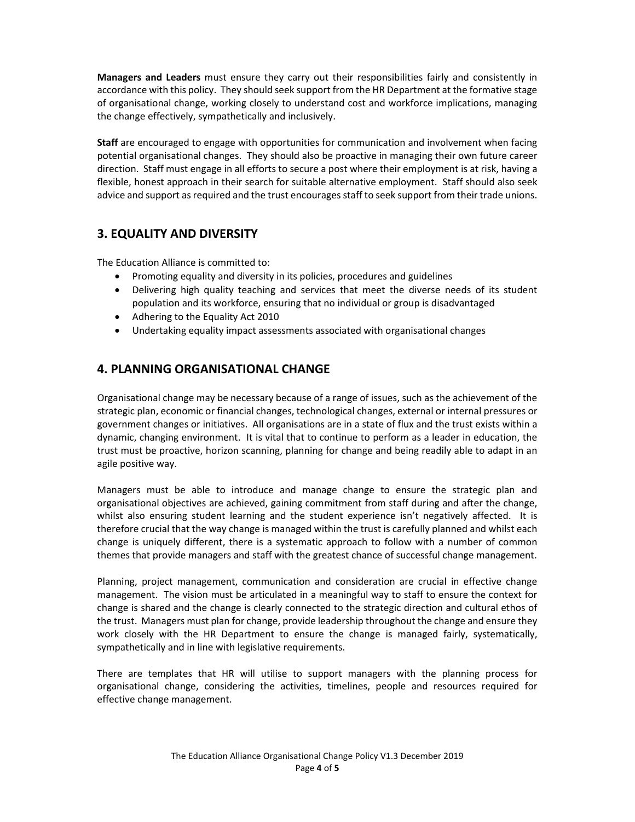**Managers and Leaders** must ensure they carry out their responsibilities fairly and consistently in accordance with this policy. They should seek support from the HR Department at the formative stage of organisational change, working closely to understand cost and workforce implications, managing the change effectively, sympathetically and inclusively.

**Staff** are encouraged to engage with opportunities for communication and involvement when facing potential organisational changes. They should also be proactive in managing their own future career direction. Staff must engage in all efforts to secure a post where their employment is at risk, having a flexible, honest approach in their search for suitable alternative employment. Staff should also seek advice and support as required and the trust encourages staff to seek support from their trade unions.

# **3. EQUALITY AND DIVERSITY**

The Education Alliance is committed to:

- Promoting equality and diversity in its policies, procedures and guidelines
- Delivering high quality teaching and services that meet the diverse needs of its student population and its workforce, ensuring that no individual or group is disadvantaged
- Adhering to the Equality Act 2010
- Undertaking equality impact assessments associated with organisational changes

# **4. PLANNING ORGANISATIONAL CHANGE**

Organisational change may be necessary because of a range of issues, such as the achievement of the strategic plan, economic or financial changes, technological changes, external or internal pressures or government changes or initiatives. All organisations are in a state of flux and the trust exists within a dynamic, changing environment. It is vital that to continue to perform as a leader in education, the trust must be proactive, horizon scanning, planning for change and being readily able to adapt in an agile positive way.

Managers must be able to introduce and manage change to ensure the strategic plan and organisational objectives are achieved, gaining commitment from staff during and after the change, whilst also ensuring student learning and the student experience isn't negatively affected. It is therefore crucial that the way change is managed within the trust is carefully planned and whilst each change is uniquely different, there is a systematic approach to follow with a number of common themes that provide managers and staff with the greatest chance of successful change management.

Planning, project management, communication and consideration are crucial in effective change management. The vision must be articulated in a meaningful way to staff to ensure the context for change is shared and the change is clearly connected to the strategic direction and cultural ethos of the trust. Managers must plan for change, provide leadership throughout the change and ensure they work closely with the HR Department to ensure the change is managed fairly, systematically, sympathetically and in line with legislative requirements.

There are templates that HR will utilise to support managers with the planning process for organisational change, considering the activities, timelines, people and resources required for effective change management.